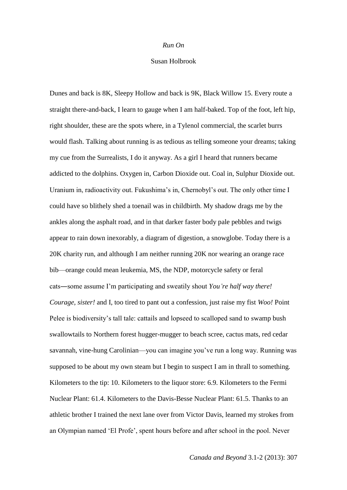## *Run On*

## Susan Holbrook

Dunes and back is 8K, Sleepy Hollow and back is 9K, Black Willow 15. Every route a straight there-and-back, I learn to gauge when I am half-baked. Top of the foot, left hip, right shoulder, these are the spots where, in a Tylenol commercial, the scarlet burrs would flash. Talking about running is as tedious as telling someone your dreams; taking my cue from the Surrealists, I do it anyway. As a girl I heard that runners became addicted to the dolphins. Oxygen in, Carbon Dioxide out. Coal in, Sulphur Dioxide out. Uranium in, radioactivity out. Fukushima's in, Chernobyl's out. The only other time I could have so blithely shed a toenail was in childbirth. My shadow drags me by the ankles along the asphalt road, and in that darker faster body pale pebbles and twigs appear to rain down inexorably, a diagram of digestion, a snowglobe. Today there is a 20K charity run, and although I am neither running 20K nor wearing an orange race bib—orange could mean leukemia, MS, the NDP, motorcycle safety or feral cats―some assume I'm participating and sweatily shout *You're half way there! Courage, sister!* and I, too tired to pant out a confession, just raise my fist *Woo!* Point Pelee is biodiversity's tall tale: cattails and lopseed to scalloped sand to swamp bush swallowtails to Northern forest hugger-mugger to beach scree, cactus mats, red cedar savannah, vine-hung Carolinian—you can imagine you've run a long way. Running was supposed to be about my own steam but I begin to suspect I am in thrall to something. Kilometers to the tip: 10. Kilometers to the liquor store: 6.9. Kilometers to the Fermi Nuclear Plant: 61.4. Kilometers to the Davis-Besse Nuclear Plant: 61.5. Thanks to an athletic brother I trained the next lane over from Victor Davis, learned my strokes from an Olympian named 'El Profe', spent hours before and after school in the pool. Never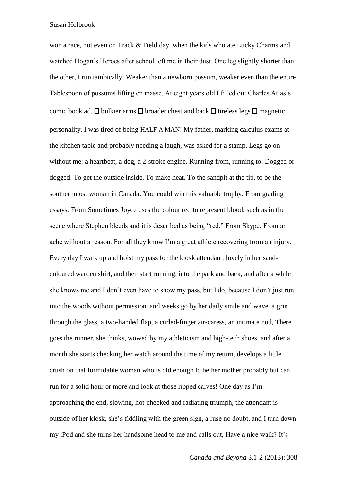Susan Holbrook

won a race, not even on Track & Field day, when the kids who ate Lucky Charms and watched Hogan's Heroes after school left me in their dust. One leg slightly shorter than the other, I run iambically. Weaker than a newborn possum, weaker even than the entire Tablespoon of possums lifting en masse. At eight years old I filled out Charles Atlas's comic book ad,  $\Box$  bulkier arms  $\Box$  broader chest and back  $\Box$  tireless legs  $\Box$  magnetic personality. I was tired of being HALF A MAN! My father, marking calculus exams at the kitchen table and probably needing a laugh, was asked for a stamp. Legs go on without me: a heartbeat, a dog, a 2-stroke engine. Running from, running to. Dogged or dogged. To get the outside inside. To make heat. To the sandpit at the tip, to be the southernmost woman in Canada. You could win this valuable trophy. From grading essays. From Sometimes Joyce uses the colour red to represent blood, such as in the scene where Stephen bleeds and it is described as being "red." From Skype. From an ache without a reason. For all they know I'm a great athlete recovering from an injury. Every day I walk up and hoist my pass for the kiosk attendant, lovely in her sandcoloured warden shirt, and then start running, into the park and back, and after a while she knows me and I don't even have to show my pass, but I do, because I don't just run into the woods without permission, and weeks go by her daily smile and wave, a grin through the glass, a two-handed flap, a curled-finger air-caress, an intimate nod, There goes the runner, she thinks, wowed by my athleticism and high-tech shoes, and after a month she starts checking her watch around the time of my return, develops a little crush on that formidable woman who is old enough to be her mother probably but can run for a solid hour or more and look at those ripped calves! One day as I'm approaching the end, slowing, hot-cheeked and radiating triumph, the attendant is outside of her kiosk, she's fiddling with the green sign, a ruse no doubt, and I turn down my iPod and she turns her handsome head to me and calls out, Have a nice walk? It's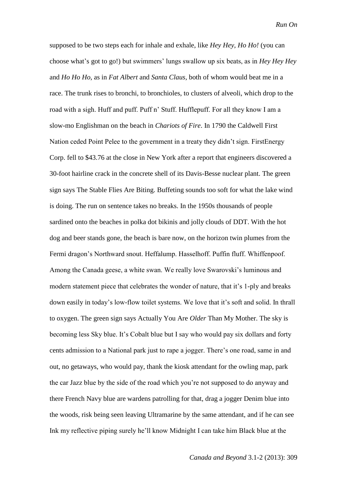supposed to be two steps each for inhale and exhale, like *Hey Hey, Ho Ho!* (you can choose what's got to go!) but swimmers' lungs swallow up six beats, as in *Hey Hey Hey*  and *Ho Ho Ho*, as in *Fat Albert* and *Santa Claus,* both of whom would beat me in a race. The trunk rises to bronchi, to bronchioles, to clusters of alveoli, which drop to the road with a sigh. Huff and puff. Puff n' Stuff. Hufflepuff. For all they know I am a slow-mo Englishman on the beach in *Chariots of Fire*. In 1790 the Caldwell First Nation ceded Point Pelee to the government in a treaty they didn't sign. FirstEnergy Corp. fell to \$43.76 at the close in New York after a report that engineers discovered a 30-foot hairline crack in the concrete shell of its Davis-Besse nuclear plant. The green sign says The Stable Flies Are Biting. Buffeting sounds too soft for what the lake wind is doing. The run on sentence takes no breaks. In the 1950s thousands of people sardined onto the beaches in polka dot bikinis and jolly clouds of DDT. With the hot dog and beer stands gone, the beach is bare now, on the horizon twin plumes from the Fermi dragon's Northward snout. Heffalump. Hasselhoff. Puffin fluff. Whiffenpoof. Among the Canada geese, a white swan. We really love Swarovski's luminous and modern statement piece that celebrates the wonder of nature, that it's 1-ply and breaks down easily in today's low-flow toilet systems. We love that it's soft and solid. In thrall to oxygen. The green sign says Actually You Are *Older* Than My Mother. The sky is becoming less Sky blue. It's Cobalt blue but I say who would pay six dollars and forty cents admission to a National park just to rape a jogger. There's one road, same in and out, no getaways, who would pay, thank the kiosk attendant for the owling map, park the car Jazz blue by the side of the road which you're not supposed to do anyway and there French Navy blue are wardens patrolling for that, drag a jogger Denim blue into the woods, risk being seen leaving Ultramarine by the same attendant, and if he can see Ink my reflective piping surely he'll know Midnight I can take him Black blue at the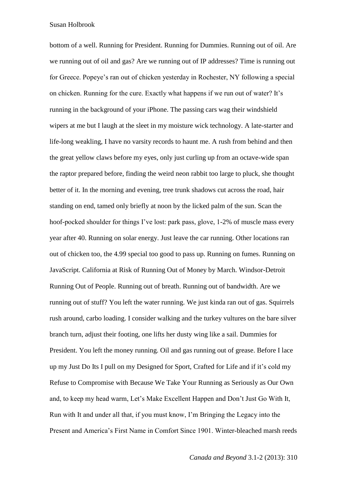Susan Holbrook

bottom of a well. Running for President. Running for Dummies. Running out of oil. Are we running out of oil and gas? Are we running out of IP addresses? Time is running out for Greece. Popeye's ran out of chicken yesterday in Rochester, NY following a special on chicken. Running for the cure. Exactly what happens if we run out of water? It's running in the background of your iPhone. The passing cars wag their windshield wipers at me but I laugh at the sleet in my moisture wick technology. A late-starter and life-long weakling, I have no varsity records to haunt me. A rush from behind and then the great yellow claws before my eyes, only just curling up from an octave-wide span the raptor prepared before, finding the weird neon rabbit too large to pluck, she thought better of it. In the morning and evening, tree trunk shadows cut across the road, hair standing on end, tamed only briefly at noon by the licked palm of the sun. Scan the hoof-pocked shoulder for things I've lost: park pass, glove, 1-2% of muscle mass every year after 40. Running on solar energy. Just leave the car running. Other locations ran out of chicken too, the 4.99 special too good to pass up. Running on fumes. Running on JavaScript. California at Risk of Running Out of Money by March. Windsor-Detroit Running Out of People. Running out of breath. Running out of bandwidth. Are we running out of stuff? You left the water running. We just kinda ran out of gas. Squirrels rush around, carbo loading. I consider walking and the turkey vultures on the bare silver branch turn, adjust their footing, one lifts her dusty wing like a sail. Dummies for President. You left the money running. Oil and gas running out of grease. Before I lace up my Just Do Its I pull on my Designed for Sport, Crafted for Life and if it's cold my Refuse to Compromise with Because We Take Your Running as Seriously as Our Own and, to keep my head warm, Let's Make Excellent Happen and Don't Just Go With It, Run with It and under all that, if you must know, I'm Bringing the Legacy into the Present and America's First Name in Comfort Since 1901. Winter-bleached marsh reeds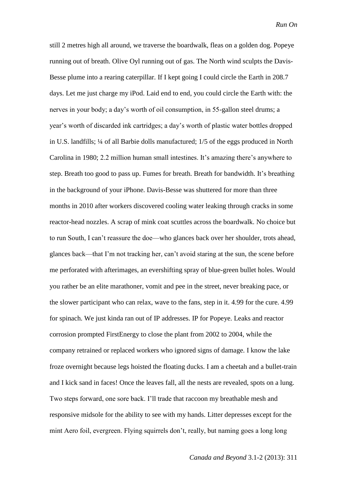still 2 metres high all around, we traverse the boardwalk, fleas on a golden dog. Popeye running out of breath. Olive Oyl running out of gas. The North wind sculpts the Davis-Besse plume into a rearing caterpillar. If I kept going I could circle the Earth in 208.7 days. Let me just charge my iPod. Laid end to end, you could circle the Earth with: the nerves in your body; a day's worth of oil consumption, in 55-gallon steel drums; a year's worth of discarded ink cartridges; a day's worth of plastic water bottles dropped in U.S. landfills; ¼ of all Barbie dolls manufactured; 1/5 of the eggs produced in North Carolina in 1980; 2.2 million human small intestines. It's amazing there's anywhere to step. Breath too good to pass up. Fumes for breath. Breath for bandwidth. It's breathing in the background of your iPhone. Davis-Besse was shuttered for more than three months in 2010 after workers discovered cooling water leaking through cracks in some reactor-head nozzles. A scrap of mink coat scuttles across the boardwalk. No choice but to run South, I can't reassure the doe—who glances back over her shoulder, trots ahead, glances back—that I'm not tracking her, can't avoid staring at the sun, the scene before me perforated with afterimages, an evershifting spray of blue-green bullet holes. Would you rather be an elite marathoner, vomit and pee in the street, never breaking pace, or the slower participant who can relax, wave to the fans, step in it. 4.99 for the cure. 4.99 for spinach. We just kinda ran out of IP addresses. IP for Popeye. Leaks and reactor corrosion prompted FirstEnergy to close the plant from 2002 to 2004, while the company retrained or replaced workers who ignored signs of damage. I know the lake froze overnight because legs hoisted the floating ducks. I am a cheetah and a bullet-train and I kick sand in faces! Once the leaves fall, all the nests are revealed, spots on a lung. Two steps forward, one sore back. I'll trade that raccoon my breathable mesh and responsive midsole for the ability to see with my hands. Litter depresses except for the mint Aero foil, evergreen. Flying squirrels don't, really, but naming goes a long long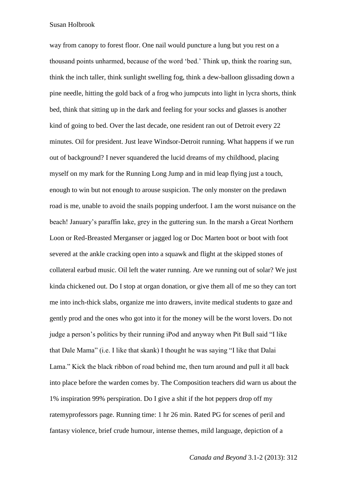Susan Holbrook

way from canopy to forest floor. One nail would puncture a lung but you rest on a thousand points unharmed, because of the word 'bed.' Think up, think the roaring sun, think the inch taller, think sunlight swelling fog, think a dew-balloon glissading down a pine needle, hitting the gold back of a frog who jumpcuts into light in lycra shorts, think bed, think that sitting up in the dark and feeling for your socks and glasses is another kind of going to bed. Over the last decade, one resident ran out of Detroit every 22 minutes. Oil for president. Just leave Windsor-Detroit running. What happens if we run out of background? I never squandered the lucid dreams of my childhood, placing myself on my mark for the Running Long Jump and in mid leap flying just a touch, enough to win but not enough to arouse suspicion. The only monster on the predawn road is me, unable to avoid the snails popping underfoot. I am the worst nuisance on the beach! January's paraffin lake, grey in the guttering sun. In the marsh a Great Northern Loon or Red-Breasted Merganser or jagged log or Doc Marten boot or boot with foot severed at the ankle cracking open into a squawk and flight at the skipped stones of collateral earbud music. Oil left the water running. Are we running out of solar? We just kinda chickened out. Do I stop at organ donation, or give them all of me so they can tort me into inch-thick slabs, organize me into drawers, invite medical students to gaze and gently prod and the ones who got into it for the money will be the worst lovers. Do not judge a person's politics by their running iPod and anyway when Pit Bull said "I like that Dale Mama" (i.e. I like that skank) I thought he was saying "I like that Dalai Lama." Kick the black ribbon of road behind me, then turn around and pull it all back into place before the warden comes by. The Composition teachers did warn us about the 1% inspiration 99% perspiration. Do I give a shit if the hot peppers drop off my ratemyprofessors page. Running time: 1 hr 26 min. Rated PG for scenes of peril and fantasy violence, brief crude humour, intense themes, mild language, depiction of a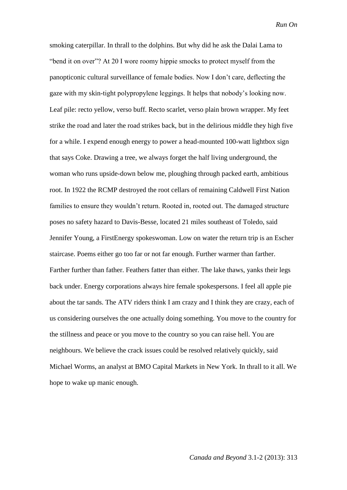*Run On*

smoking caterpillar. In thrall to the dolphins. But why did he ask the Dalai Lama to "bend it on over"? At 20 I wore roomy hippie smocks to protect myself from the panopticonic cultural surveillance of female bodies. Now I don't care, deflecting the gaze with my skin-tight polypropylene leggings. It helps that nobody's looking now. Leaf pile: recto yellow, verso buff. Recto scarlet, verso plain brown wrapper. My feet strike the road and later the road strikes back, but in the delirious middle they high five for a while. I expend enough energy to power a head-mounted 100-watt lightbox sign that says Coke. Drawing a tree, we always forget the half living underground, the woman who runs upside-down below me, ploughing through packed earth, ambitious root. In 1922 the RCMP destroyed the root cellars of remaining Caldwell First Nation families to ensure they wouldn't return. Rooted in, rooted out. The damaged structure poses no safety hazard to Davis-Besse, located 21 miles southeast of Toledo, said Jennifer Young, a FirstEnergy spokeswoman. Low on water the return trip is an Escher staircase. Poems either go too far or not far enough. Further warmer than farther. Farther further than father. Feathers fatter than either. The lake thaws, yanks their legs back under. Energy corporations always hire female spokespersons. I feel all apple pie about the tar sands. The ATV riders think I am crazy and I think they are crazy, each of us considering ourselves the one actually doing something. You move to the country for the stillness and peace or you move to the country so you can raise hell. You are neighbours. We believe the crack issues could be resolved relatively quickly, said Michael Worms, an analyst at BMO Capital Markets in New York. In thrall to it all. We hope to wake up manic enough.